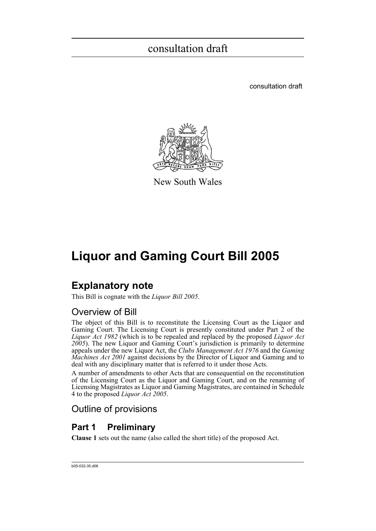consultation draft



New South Wales

# **Liquor and Gaming Court Bill 2005**

# **Explanatory note**

This Bill is cognate with the *Liquor Bill 2005*.

## Overview of Bill

The object of this Bill is to reconstitute the Licensing Court as the Liquor and Gaming Court. The Licensing Court is presently constituted under Part 2 of the *Liquor Act 1982* (which is to be repealed and replaced by the proposed *Liquor Act 2005*). The new Liquor and Gaming Court's jurisdiction is primarily to determine appeals under the new Liquor Act, the *Clubs Management Act 1976* and the *Gaming Machines Act 2001* against decisions by the Director of Liquor and Gaming and to deal with any disciplinary matter that is referred to it under those Acts.

A number of amendments to other Acts that are consequential on the reconstitution of the Licensing Court as the Liquor and Gaming Court, and on the renaming of Licensing Magistrates as Liquor and Gaming Magistrates, are contained in Schedule 4 to the proposed *Liquor Act 2005*.

## Outline of provisions

### **Part 1 Preliminary**

**Clause 1** sets out the name (also called the short title) of the proposed Act.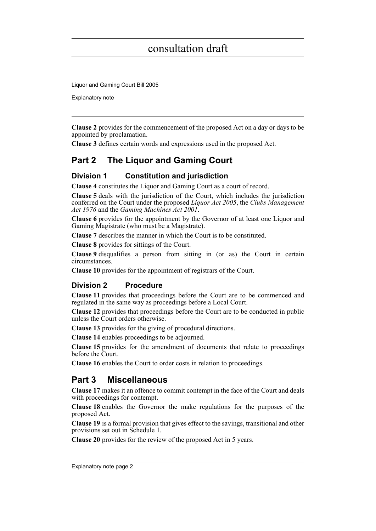Liquor and Gaming Court Bill 2005

Explanatory note

**Clause 2** provides for the commencement of the proposed Act on a day or days to be appointed by proclamation.

**Clause 3** defines certain words and expressions used in the proposed Act.

### **Part 2 The Liquor and Gaming Court**

### **Division 1 Constitution and jurisdiction**

**Clause 4** constitutes the Liquor and Gaming Court as a court of record.

**Clause 5** deals with the jurisdiction of the Court, which includes the jurisdiction conferred on the Court under the proposed *Liquor Act 2005*, the *Clubs Management Act 1976* and the *Gaming Machines Act 2001*.

**Clause 6** provides for the appointment by the Governor of at least one Liquor and Gaming Magistrate (who must be a Magistrate).

**Clause 7** describes the manner in which the Court is to be constituted.

**Clause 8** provides for sittings of the Court.

**Clause 9** disqualifies a person from sitting in (or as) the Court in certain circumstances.

**Clause 10** provides for the appointment of registrars of the Court.

#### **Division 2 Procedure**

**Clause 11** provides that proceedings before the Court are to be commenced and regulated in the same way as proceedings before a Local Court.

**Clause 12** provides that proceedings before the Court are to be conducted in public unless the Court orders otherwise.

**Clause 13** provides for the giving of procedural directions.

**Clause 14** enables proceedings to be adjourned.

**Clause 15** provides for the amendment of documents that relate to proceedings before the Court.

**Clause 16** enables the Court to order costs in relation to proceedings.

### **Part 3 Miscellaneous**

**Clause 17** makes it an offence to commit contempt in the face of the Court and deals with proceedings for contempt.

**Clause 18** enables the Governor the make regulations for the purposes of the proposed Act.

**Clause 19** is a formal provision that gives effect to the savings, transitional and other provisions set out in Schedule 1.

**Clause 20** provides for the review of the proposed Act in 5 years.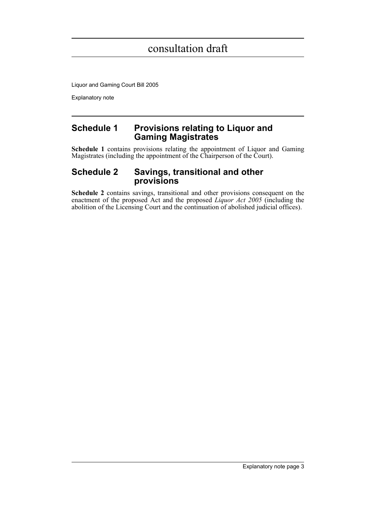Liquor and Gaming Court Bill 2005

Explanatory note

### **Schedule 1 Provisions relating to Liquor and Gaming Magistrates**

**Schedule 1** contains provisions relating the appointment of Liquor and Gaming Magistrates (including the appointment of the Chairperson of the Court).

### **Schedule 2 Savings, transitional and other provisions**

**Schedule 2** contains savings, transitional and other provisions consequent on the enactment of the proposed Act and the proposed *Liquor Act 2005* (including the abolition of the Licensing Court and the continuation of abolished judicial offices).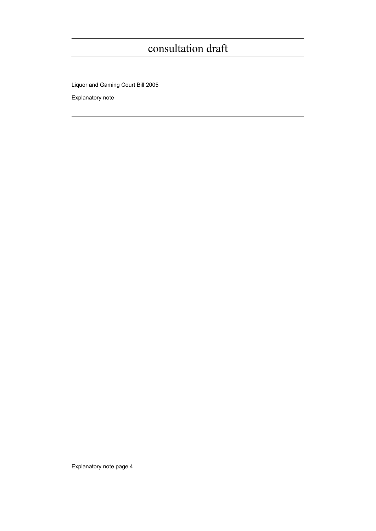Liquor and Gaming Court Bill 2005

Explanatory note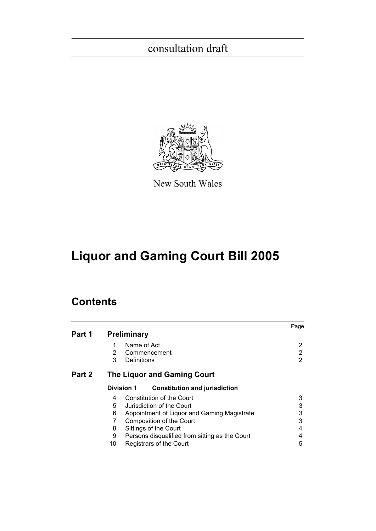

New South Wales

# **Liquor and Gaming Court Bill 2005**

# **Contents**

|        |                                                     | Page |
|--------|-----------------------------------------------------|------|
| Part 1 | <b>Preliminary</b>                                  |      |
|        | Name of Act<br>1                                    | 2    |
|        | $\mathbf{2}^{\prime}$<br>Commencement               | 2    |
|        | 3<br>Definitions                                    | 2    |
| Part 2 | <b>The Liquor and Gaming Court</b>                  |      |
|        | Division 1<br><b>Constitution and jurisdiction</b>  |      |
|        | Constitution of the Court<br>4                      | 3    |
|        | 5<br>Jurisdiction of the Court                      | 3    |
|        | 6<br>Appointment of Liquor and Gaming Magistrate    | 3    |
|        | 7<br>Composition of the Court                       | 3    |
|        | 8<br>Sittings of the Court                          | 4    |
|        | 9<br>Persons disqualified from sitting as the Court | 4    |
|        | Registrars of the Court<br>10                       | 5    |
|        |                                                     |      |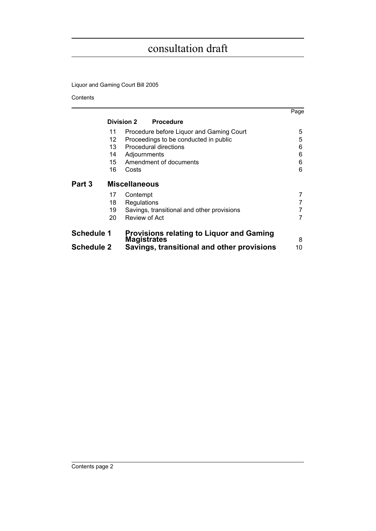Liquor and Gaming Court Bill 2005

Contents

|                   |                                                                | Page |
|-------------------|----------------------------------------------------------------|------|
|                   | <b>Division 2</b><br><b>Procedure</b>                          |      |
| 11                | Procedure before Liquor and Gaming Court                       | 5    |
| 12                | Proceedings to be conducted in public                          | 5    |
| 13                | Procedural directions                                          | 6    |
| 14                | Adjournments                                                   | 6    |
| 15                | Amendment of documents                                         | 6    |
| 16                | Costs                                                          | 6    |
| Part 3            | <b>Miscellaneous</b>                                           |      |
| 17                | Contempt                                                       |      |
| 18                | Regulations                                                    |      |
| 19                | Savings, transitional and other provisions                     |      |
| 20                | Review of Act                                                  |      |
| <b>Schedule 1</b> | <b>Provisions relating to Liquor and Gaming</b><br>Magistrates | 8    |
| <b>Schedule 2</b> | Savings, transitional and other provisions                     | 10   |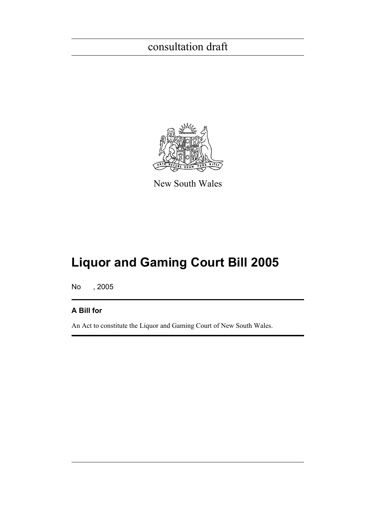

New South Wales

# **Liquor and Gaming Court Bill 2005**

No , 2005

### **A Bill for**

An Act to constitute the Liquor and Gaming Court of New South Wales.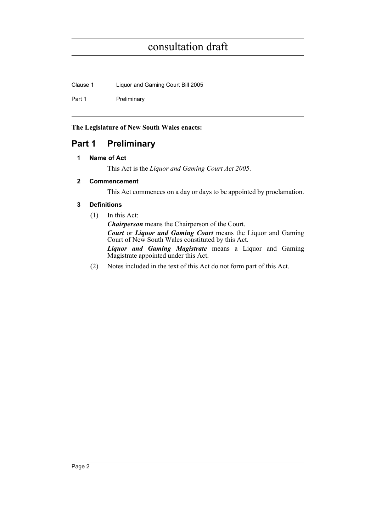Clause 1 Liquor and Gaming Court Bill 2005

Part 1 Preliminary

**The Legislature of New South Wales enacts:**

### <span id="page-7-1"></span><span id="page-7-0"></span>**Part 1 Preliminary**

#### **1 Name of Act**

This Act is the *Liquor and Gaming Court Act 2005*.

#### <span id="page-7-2"></span>**2 Commencement**

This Act commences on a day or days to be appointed by proclamation.

#### <span id="page-7-3"></span>**3 Definitions**

(1) In this Act:

*Chairperson* means the Chairperson of the Court. *Court* or *Liquor and Gaming Court* means the Liquor and Gaming Court of New South Wales constituted by this Act. *Liquor and Gaming Magistrate* means a Liquor and Gaming Magistrate appointed under this Act.

(2) Notes included in the text of this Act do not form part of this Act.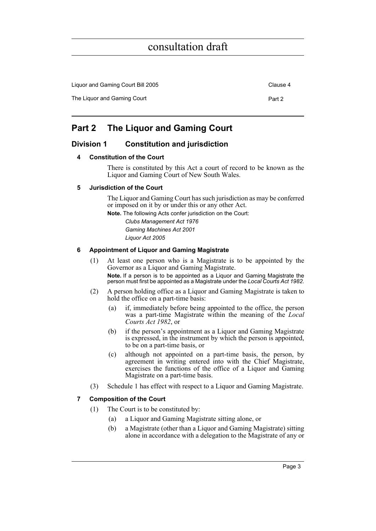Liquor and Gaming Court Bill 2005 Clause 4

The Liquor and Gaming Court **Part 2** Part 2

### <span id="page-8-0"></span>**Part 2 The Liquor and Gaming Court**

#### <span id="page-8-2"></span><span id="page-8-1"></span>**Division 1 Constitution and jurisdiction**

#### **4 Constitution of the Court**

There is constituted by this Act a court of record to be known as the Liquor and Gaming Court of New South Wales.

#### <span id="page-8-3"></span>**5 Jurisdiction of the Court**

The Liquor and Gaming Court has such jurisdiction as may be conferred or imposed on it by or under this or any other Act.

**Note.** The following Acts confer jurisdiction on the Court:

*Clubs Management Act 1976 Gaming Machines Act 2001 Liquor Act 2005*

#### <span id="page-8-4"></span>**6 Appointment of Liquor and Gaming Magistrate**

- (1) At least one person who is a Magistrate is to be appointed by the Governor as a Liquor and Gaming Magistrate. **Note.** If a person is to be appointed as a Liquor and Gaming Magistrate the person must first be appointed as a Magistrate under the *Local Courts Act 1982*.
- (2) A person holding office as a Liquor and Gaming Magistrate is taken to hold the office on a part-time basis:
	- (a) if, immediately before being appointed to the office, the person was a part-time Magistrate within the meaning of the *Local Courts Act 1982*, or
	- (b) if the person's appointment as a Liquor and Gaming Magistrate is expressed, in the instrument by which the person is appointed, to be on a part-time basis, or
	- (c) although not appointed on a part-time basis, the person, by agreement in writing entered into with the Chief Magistrate, exercises the functions of the office of a Liquor and Gaming Magistrate on a part-time basis.
- (3) Schedule 1 has effect with respect to a Liquor and Gaming Magistrate.

#### <span id="page-8-5"></span>**7 Composition of the Court**

- (1) The Court is to be constituted by:
	- (a) a Liquor and Gaming Magistrate sitting alone, or
	- (b) a Magistrate (other than a Liquor and Gaming Magistrate) sitting alone in accordance with a delegation to the Magistrate of any or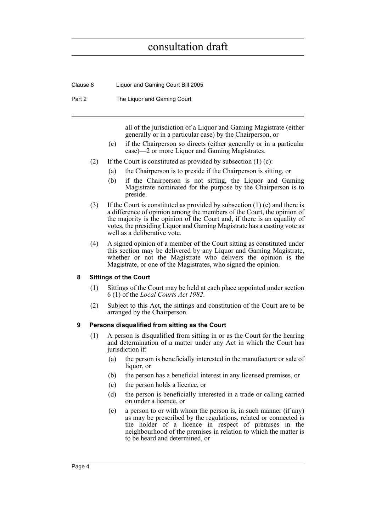Clause 8 Liquor and Gaming Court Bill 2005

Part 2 The Liquor and Gaming Court

all of the jurisdiction of a Liquor and Gaming Magistrate (either generally or in a particular case) by the Chairperson, or

- (c) if the Chairperson so directs (either generally or in a particular case)—2 or more Liquor and Gaming Magistrates.
- (2) If the Court is constituted as provided by subsection (1) (c):
	- (a) the Chairperson is to preside if the Chairperson is sitting, or
	- (b) if the Chairperson is not sitting, the Liquor and Gaming Magistrate nominated for the purpose by the Chairperson is to preside.
- (3) If the Court is constituted as provided by subsection  $(1)$  (c) and there is a difference of opinion among the members of the Court, the opinion of the majority is the opinion of the Court and, if there is an equality of votes, the presiding Liquor and Gaming Magistrate has a casting vote as well as a deliberative vote.
- (4) A signed opinion of a member of the Court sitting as constituted under this section may be delivered by any Liquor and Gaming Magistrate, whether or not the Magistrate who delivers the opinion is the Magistrate, or one of the Magistrates, who signed the opinion.

#### <span id="page-9-0"></span>**8 Sittings of the Court**

- (1) Sittings of the Court may be held at each place appointed under section 6 (1) of the *Local Courts Act 1982*.
- (2) Subject to this Act, the sittings and constitution of the Court are to be arranged by the Chairperson.

#### <span id="page-9-1"></span>**9 Persons disqualified from sitting as the Court**

- (1) A person is disqualified from sitting in or as the Court for the hearing and determination of a matter under any Act in which the Court has jurisdiction if:
	- (a) the person is beneficially interested in the manufacture or sale of liquor, or
	- (b) the person has a beneficial interest in any licensed premises, or
	- (c) the person holds a licence, or
	- (d) the person is beneficially interested in a trade or calling carried on under a licence, or
	- (e) a person to or with whom the person is, in such manner (if any) as may be prescribed by the regulations, related or connected is the holder of a licence in respect of premises in the neighbourhood of the premises in relation to which the matter is to be heard and determined, or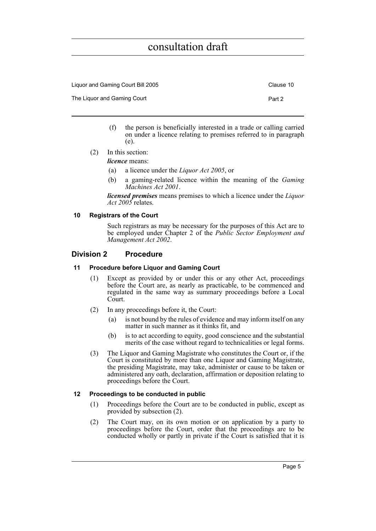Liquor and Gaming Court Bill 2005 Clause 10 The Liquor and Gaming Court **Part 2** and 2 and 2 and 2 and 2 and 2 and 2 and 2 and 2 and 2 and 2 and 2 and 2 and 2 and 2 and 2 and 2 and 2 and 2 and 2 and 2 and 2 and 2 and 2 and 2 and 2 and 2 and 2 and 2 and 2 and 2 and 2

- (f) the person is beneficially interested in a trade or calling carried on under a licence relating to premises referred to in paragraph (e).
- (2) In this section:

*licence* means:

- (a) a licence under the *Liquor Act 2005*, or
- (b) a gaming-related licence within the meaning of the *Gaming Machines Act 2001*.

*licensed premises* means premises to which a licence under the *Liquor Act 2005* relates.

#### <span id="page-10-0"></span>**10 Registrars of the Court**

Such registrars as may be necessary for the purposes of this Act are to be employed under Chapter 2 of the *Public Sector Employment and Management Act 2002*.

#### <span id="page-10-1"></span>**Division 2 Procedure**

#### <span id="page-10-2"></span>**11 Procedure before Liquor and Gaming Court**

- (1) Except as provided by or under this or any other Act, proceedings before the Court are, as nearly as practicable, to be commenced and regulated in the same way as summary proceedings before a Local Court.
- (2) In any proceedings before it, the Court:
	- (a) is not bound by the rules of evidence and may inform itself on any matter in such manner as it thinks fit, and
	- (b) is to act according to equity, good conscience and the substantial merits of the case without regard to technicalities or legal forms.
- (3) The Liquor and Gaming Magistrate who constitutes the Court or, if the Court is constituted by more than one Liquor and Gaming Magistrate, the presiding Magistrate, may take, administer or cause to be taken or administered any oath, declaration, affirmation or deposition relating to proceedings before the Court.

#### <span id="page-10-3"></span>**12 Proceedings to be conducted in public**

- (1) Proceedings before the Court are to be conducted in public, except as provided by subsection (2).
- (2) The Court may, on its own motion or on application by a party to proceedings before the Court, order that the proceedings are to be conducted wholly or partly in private if the Court is satisfied that it is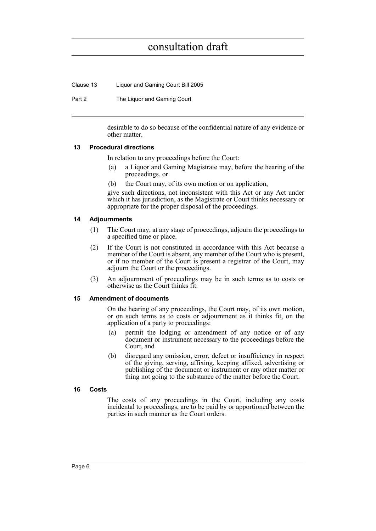Clause 13 Liquor and Gaming Court Bill 2005

Part 2 The Liquor and Gaming Court

desirable to do so because of the confidential nature of any evidence or other matter.

#### <span id="page-11-0"></span>**13 Procedural directions**

In relation to any proceedings before the Court:

- (a) a Liquor and Gaming Magistrate may, before the hearing of the proceedings, or
- (b) the Court may, of its own motion or on application,

give such directions, not inconsistent with this Act or any Act under which it has jurisdiction, as the Magistrate or Court thinks necessary or appropriate for the proper disposal of the proceedings.

#### <span id="page-11-1"></span>**14 Adjournments**

- (1) The Court may, at any stage of proceedings, adjourn the proceedings to a specified time or place.
- (2) If the Court is not constituted in accordance with this Act because a member of the Court is absent, any member of the Court who is present, or if no member of the Court is present a registrar of the Court, may adjourn the Court or the proceedings.
- (3) An adjournment of proceedings may be in such terms as to costs or otherwise as the Court thinks fit.

#### <span id="page-11-2"></span>**15 Amendment of documents**

On the hearing of any proceedings, the Court may, of its own motion, or on such terms as to costs or adjournment as it thinks fit, on the application of a party to proceedings:

- (a) permit the lodging or amendment of any notice or of any document or instrument necessary to the proceedings before the Court, and
- (b) disregard any omission, error, defect or insufficiency in respect of the giving, serving, affixing, keeping affixed, advertising or publishing of the document or instrument or any other matter or thing not going to the substance of the matter before the Court.

#### <span id="page-11-3"></span>**16 Costs**

The costs of any proceedings in the Court, including any costs incidental to proceedings, are to be paid by or apportioned between the parties in such manner as the Court orders.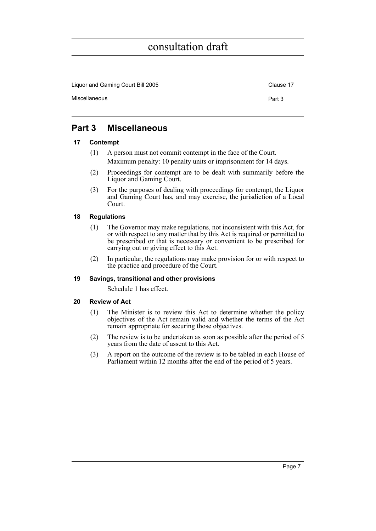Liquor and Gaming Court Bill 2005 Clause 17 Miscellaneous **Part 3** 

### <span id="page-12-0"></span>**Part 3 Miscellaneous**

#### <span id="page-12-1"></span>**17 Contempt**

- (1) A person must not commit contempt in the face of the Court. Maximum penalty: 10 penalty units or imprisonment for 14 days.
- (2) Proceedings for contempt are to be dealt with summarily before the Liquor and Gaming Court.
- (3) For the purposes of dealing with proceedings for contempt, the Liquor and Gaming Court has, and may exercise, the jurisdiction of a Local Court.

#### <span id="page-12-2"></span>**18 Regulations**

- (1) The Governor may make regulations, not inconsistent with this Act, for or with respect to any matter that by this Act is required or permitted to be prescribed or that is necessary or convenient to be prescribed for carrying out or giving effect to this Act.
- (2) In particular, the regulations may make provision for or with respect to the practice and procedure of the Court.

#### <span id="page-12-3"></span>**19 Savings, transitional and other provisions**

Schedule 1 has effect.

#### <span id="page-12-4"></span>**20 Review of Act**

- (1) The Minister is to review this Act to determine whether the policy objectives of the Act remain valid and whether the terms of the Act remain appropriate for securing those objectives.
- (2) The review is to be undertaken as soon as possible after the period of 5 years from the date of assent to this Act.
- (3) A report on the outcome of the review is to be tabled in each House of Parliament within 12 months after the end of the period of 5 years.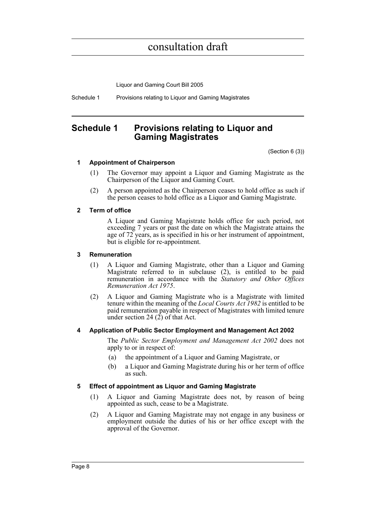Liquor and Gaming Court Bill 2005

Schedule 1 Provisions relating to Liquor and Gaming Magistrates

### <span id="page-13-0"></span>**Schedule 1 Provisions relating to Liquor and Gaming Magistrates**

(Section 6 (3))

#### **1 Appointment of Chairperson**

- (1) The Governor may appoint a Liquor and Gaming Magistrate as the Chairperson of the Liquor and Gaming Court.
- (2) A person appointed as the Chairperson ceases to hold office as such if the person ceases to hold office as a Liquor and Gaming Magistrate.

#### **2 Term of office**

A Liquor and Gaming Magistrate holds office for such period, not exceeding 7 years or past the date on which the Magistrate attains the age of 72 years, as is specified in his or her instrument of appointment, but is eligible for re-appointment.

#### **3 Remuneration**

- (1) A Liquor and Gaming Magistrate, other than a Liquor and Gaming Magistrate referred to in subclause (2), is entitled to be paid remuneration in accordance with the *Statutory and Other Offices Remuneration Act 1975*.
- (2) A Liquor and Gaming Magistrate who is a Magistrate with limited tenure within the meaning of the *Local Courts Act 1982* is entitled to be paid remuneration payable in respect of Magistrates with limited tenure under section 24 $(2)$  of that Act.

#### **4 Application of Public Sector Employment and Management Act 2002**

The *Public Sector Employment and Management Act 2002* does not apply to or in respect of:

- (a) the appointment of a Liquor and Gaming Magistrate, or
- (b) a Liquor and Gaming Magistrate during his or her term of office as such.

#### **5 Effect of appointment as Liquor and Gaming Magistrate**

- (1) A Liquor and Gaming Magistrate does not, by reason of being appointed as such, cease to be a Magistrate.
- (2) A Liquor and Gaming Magistrate may not engage in any business or employment outside the duties of his or her office except with the approval of the Governor.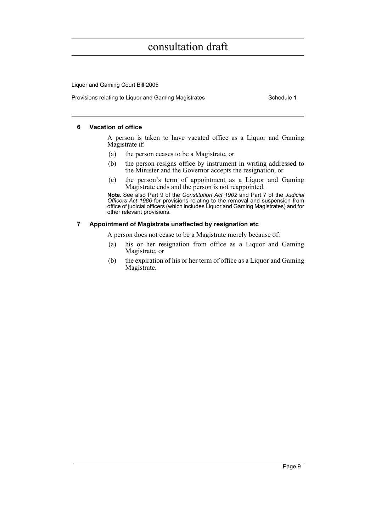Liquor and Gaming Court Bill 2005

Provisions relating to Liquor and Gaming Magistrates Schedule 1

#### **6 Vacation of office**

A person is taken to have vacated office as a Liquor and Gaming Magistrate if:

- (a) the person ceases to be a Magistrate, or
- (b) the person resigns office by instrument in writing addressed to the Minister and the Governor accepts the resignation, or
- (c) the person's term of appointment as a Liquor and Gaming Magistrate ends and the person is not reappointed.

**Note.** See also Part 9 of the *Constitution Act 1902* and Part 7 of the *Judicial Officers Act 1986* for provisions relating to the removal and suspension from office of judicial officers (which includes Liquor and Gaming Magistrates) and for other relevant provisions.

#### **7 Appointment of Magistrate unaffected by resignation etc**

A person does not cease to be a Magistrate merely because of:

- (a) his or her resignation from office as a Liquor and Gaming Magistrate, or
- (b) the expiration of his or her term of office as a Liquor and Gaming Magistrate.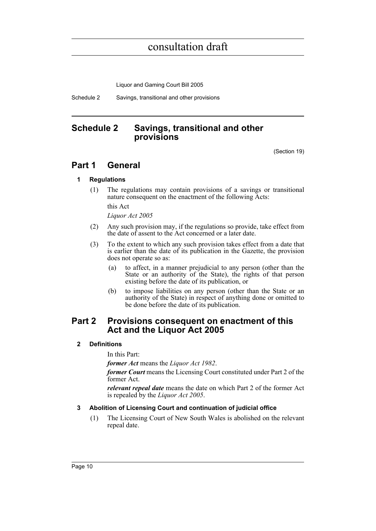Liquor and Gaming Court Bill 2005

Schedule 2 Savings, transitional and other provisions

### <span id="page-15-0"></span>**Schedule 2 Savings, transitional and other provisions**

(Section 19)

### **Part 1 General**

#### **1 Regulations**

(1) The regulations may contain provisions of a savings or transitional nature consequent on the enactment of the following Acts:

this Act

*Liquor Act 2005*

- (2) Any such provision may, if the regulations so provide, take effect from the date of assent to the Act concerned or a later date.
- (3) To the extent to which any such provision takes effect from a date that is earlier than the date of its publication in the Gazette, the provision does not operate so as:
	- (a) to affect, in a manner prejudicial to any person (other than the State or an authority of the State), the rights of that person existing before the date of its publication, or
	- (b) to impose liabilities on any person (other than the State or an authority of the State) in respect of anything done or omitted to be done before the date of its publication.

### **Part 2 Provisions consequent on enactment of this Act and the Liquor Act 2005**

#### **2 Definitions**

In this Part:

*former Act* means the *Liquor Act 1982*.

*former Court* means the Licensing Court constituted under Part 2 of the former Act.

*relevant repeal date* means the date on which Part 2 of the former Act is repealed by the *Liquor Act 2005*.

#### **3 Abolition of Licensing Court and continuation of judicial office**

(1) The Licensing Court of New South Wales is abolished on the relevant repeal date.